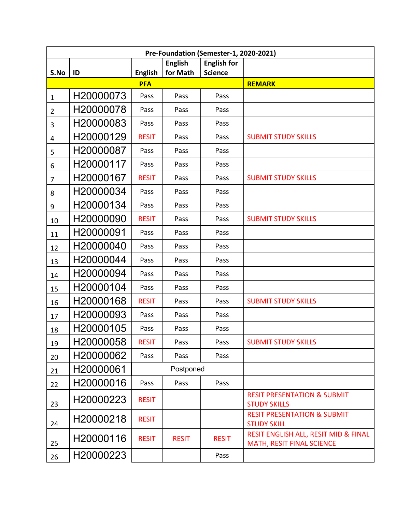| Pre-Foundation (Semester-1, 2020-2021) |           |                |                            |                                      |                                                                   |  |  |  |  |
|----------------------------------------|-----------|----------------|----------------------------|--------------------------------------|-------------------------------------------------------------------|--|--|--|--|
| S.No                                   | ID        | <b>English</b> | <b>English</b><br>for Math | <b>English for</b><br><b>Science</b> |                                                                   |  |  |  |  |
|                                        |           | <b>PFA</b>     |                            |                                      | <b>REMARK</b>                                                     |  |  |  |  |
| $\mathbf{1}$                           | H20000073 | Pass           | Pass                       | Pass                                 |                                                                   |  |  |  |  |
| $\overline{2}$                         | H20000078 | Pass           | Pass                       | Pass                                 |                                                                   |  |  |  |  |
| 3                                      | H20000083 | Pass           | Pass                       | Pass                                 |                                                                   |  |  |  |  |
| 4                                      | H20000129 | <b>RESIT</b>   | Pass                       | Pass                                 | <b>SUBMIT STUDY SKILLS</b>                                        |  |  |  |  |
| 5                                      | H20000087 | Pass           | Pass                       | Pass                                 |                                                                   |  |  |  |  |
| 6                                      | H20000117 | Pass           | Pass                       | Pass                                 |                                                                   |  |  |  |  |
| $\overline{7}$                         | H20000167 | <b>RESIT</b>   | Pass                       | Pass                                 | <b>SUBMIT STUDY SKILLS</b>                                        |  |  |  |  |
| 8                                      | H20000034 | Pass           | Pass                       | Pass                                 |                                                                   |  |  |  |  |
| 9                                      | H20000134 | Pass           | Pass                       | Pass                                 |                                                                   |  |  |  |  |
| 10                                     | H20000090 | <b>RESIT</b>   | Pass                       | Pass                                 | <b>SUBMIT STUDY SKILLS</b>                                        |  |  |  |  |
| 11                                     | H20000091 | Pass           | Pass                       | Pass                                 |                                                                   |  |  |  |  |
| 12                                     | H20000040 | Pass           | Pass                       | Pass                                 |                                                                   |  |  |  |  |
| 13                                     | H20000044 | Pass           | Pass                       | Pass                                 |                                                                   |  |  |  |  |
| 14                                     | H20000094 | Pass           | Pass                       | Pass                                 |                                                                   |  |  |  |  |
| 15                                     | H20000104 | Pass           | Pass                       | Pass                                 |                                                                   |  |  |  |  |
| 16                                     | H20000168 | <b>RESIT</b>   | Pass                       | Pass                                 | <b>SUBMIT STUDY SKILLS</b>                                        |  |  |  |  |
| 17                                     | H20000093 | Pass           | Pass                       | Pass                                 |                                                                   |  |  |  |  |
| 18                                     | H20000105 | Pass           | Pass                       | Pass                                 |                                                                   |  |  |  |  |
| 19                                     | H20000058 | <b>RESIT</b>   | Pass                       | Pass                                 | <b>SUBMIT STUDY SKILLS</b>                                        |  |  |  |  |
| 20                                     | H20000062 | Pass           | Pass                       | Pass                                 |                                                                   |  |  |  |  |
| 21                                     | H20000061 | Postponed      |                            |                                      |                                                                   |  |  |  |  |
| 22                                     | H20000016 | Pass           | Pass                       | Pass                                 |                                                                   |  |  |  |  |
| 23                                     | H20000223 | <b>RESIT</b>   |                            |                                      | <b>RESIT PRESENTATION &amp; SUBMIT</b><br><b>STUDY SKILLS</b>     |  |  |  |  |
| 24                                     | H20000218 | <b>RESIT</b>   |                            |                                      | <b>RESIT PRESENTATION &amp; SUBMIT</b><br><b>STUDY SKILL</b>      |  |  |  |  |
| 25                                     | H20000116 | <b>RESIT</b>   | <b>RESIT</b>               | <b>RESIT</b>                         | RESIT ENGLISH ALL, RESIT MID & FINAL<br>MATH, RESIT FINAL SCIENCE |  |  |  |  |
| 26                                     | H20000223 |                |                            | Pass                                 |                                                                   |  |  |  |  |